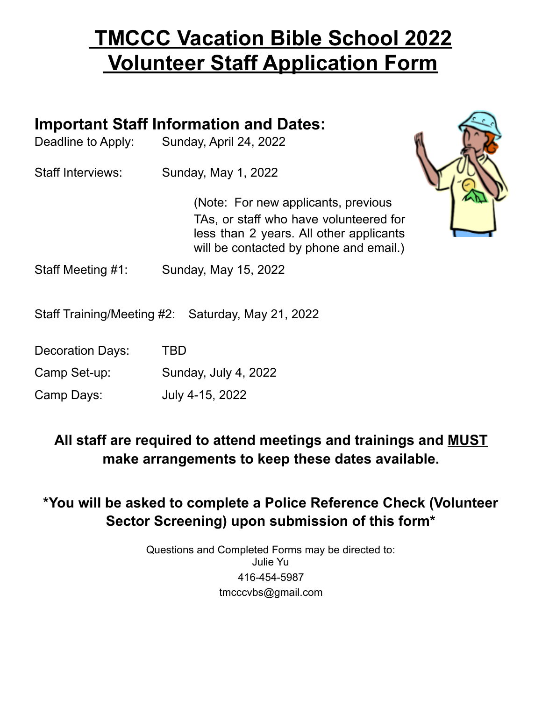## **TMCCC Vacation Bible School 2022 Volunteer Staff Application Form**

## **Important Staff Information and Dates:**

| Deadline to Apply: | Sunday, April 24, 2022 |
|--------------------|------------------------|
|--------------------|------------------------|

Staff Interviews: Sunday, May 1, 2022

(Note: For new applicants, previous TAs, or staff who have volunteered for less than 2 years. All other applicants will be contacted by phone and email.)



Staff Meeting #1: Sunday, May 15, 2022

Staff Training/Meeting #2: Saturday, May 21, 2022

Decoration Days: TBD

Camp Set-up: Sunday, July 4, 2022

Camp Days: July 4-15, 2022

**All staff are required to attend meetings and trainings and MUST make arrangements to keep these dates available.**

**\*You will be asked to complete a Police Reference Check (Volunteer Sector Screening) upon submission of this form\***

> Questions and Completed Forms may be directed to: Julie Yu 416-454-5987 [tmcccvbs@gmail.com](mailto:tmcccvbs@gmail.com)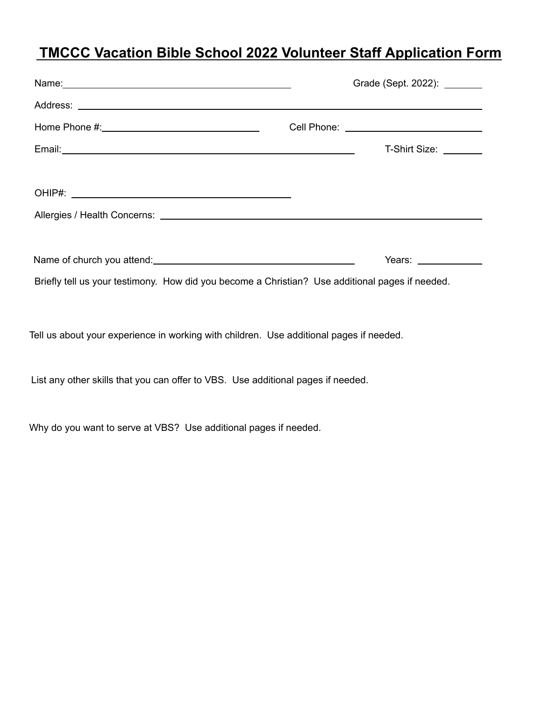## **TMCCC Vacation Bible School 2022 Volunteer Staff Application Form**

|                                                                                                 |  | Grade (Sept. 2022): _______                 |
|-------------------------------------------------------------------------------------------------|--|---------------------------------------------|
|                                                                                                 |  |                                             |
|                                                                                                 |  | Cell Phone: _______________________________ |
|                                                                                                 |  | T-Shirt Size: <u>__________</u>             |
|                                                                                                 |  |                                             |
|                                                                                                 |  |                                             |
|                                                                                                 |  |                                             |
|                                                                                                 |  |                                             |
|                                                                                                 |  | Years: $\frac{1}{2}$                        |
| Briefly tell us your testimony. How did you become a Christian? Use additional pages if needed. |  |                                             |
|                                                                                                 |  |                                             |
| Tell us about your experience in working with children. Use additional pages if needed.         |  |                                             |
|                                                                                                 |  |                                             |
| List any other skills that you can offer to VBS. Use additional pages if needed.                |  |                                             |
|                                                                                                 |  |                                             |

Why do you want to serve at VBS? Use additional pages if needed.